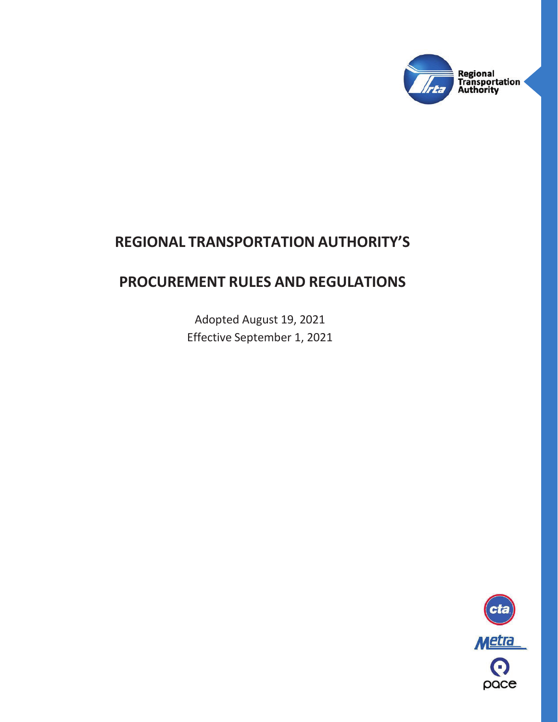

# **REGIONAL TRANSPORTATION AUTHORITY'S**

# **PROCUREMENT RULES AND REGULATIONS**

Adopted August 19, 2021 Effective September 1, 2021

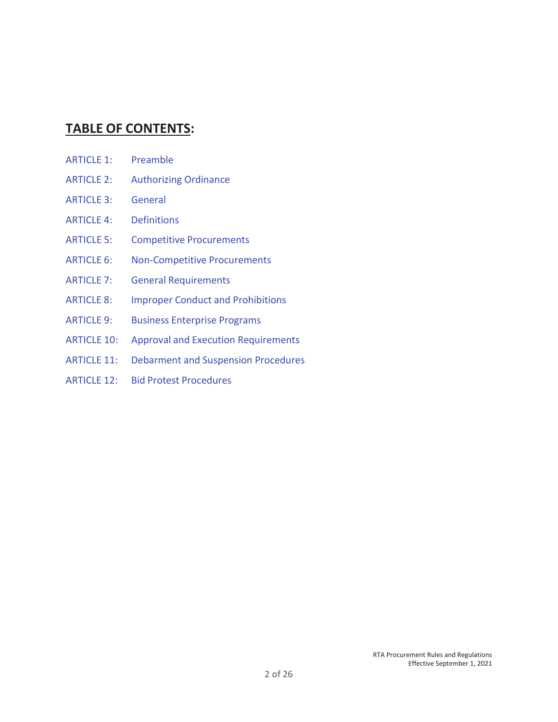# **TABLE OF CONTENTS:**

- ARTICLE 1: Preamble
- ARTICLE 2: Authorizing Ordinance
- ARTICLE 3: General
- ARTICLE 4: Definitions
- ARTICLE 5: Competitive Procurements
- ARTICLE 6: Non-Competitive Procurements
- ARTICLE 7: General Requirements
- ARTICLE 8: Improper Conduct and Prohibitions
- ARTICLE 9: Business Enterprise Programs
- ARTICLE 10: Approval and Execution Requirements
- ARTICLE 11: Debarment and Suspension Procedures
- ARTICLE 12: Bid Protest Procedures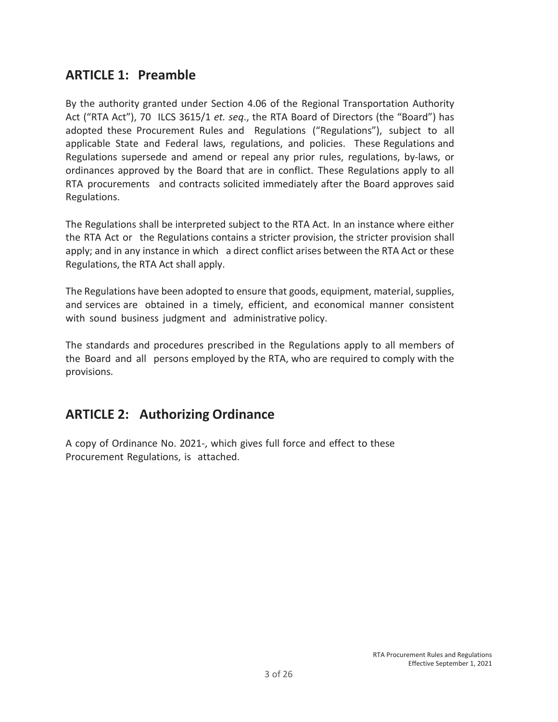# **ARTICLE 1: Preamble**

By the authority granted under Section 4.06 of the Regional Transportation Authority Act ("RTA Act"), 70 ILCS 3615/1 *et. seq*., the RTA Board of Directors (the "Board") has adopted these Procurement Rules and Regulations ("Regulations"), subject to all applicable State and Federal laws, regulations, and policies. These Regulations and Regulations supersede and amend or repeal any prior rules, regulations, by-laws, or ordinances approved by the Board that are in conflict. These Regulations apply to all RTA procurements and contracts solicited immediately after the Board approves said Regulations.

The Regulations shall be interpreted subject to the RTA Act. In an instance where either the RTA Act or the Regulations contains a stricter provision, the stricter provision shall apply; and in any instance in which a direct conflict arises between the RTA Act or these Regulations, the RTA Act shall apply.

The Regulations have been adopted to ensure that goods, equipment, material, supplies, and services are obtained in a timely, efficient, and economical manner consistent with sound business judgment and administrative policy.

The standards and procedures prescribed in the Regulations apply to all members of the Board and all persons employed by the RTA, who are required to comply with the provisions.

# **ARTICLE 2: Authorizing Ordinance**

A copy of Ordinance No. 2021-, which gives full force and effect to these Procurement Regulations, is attached.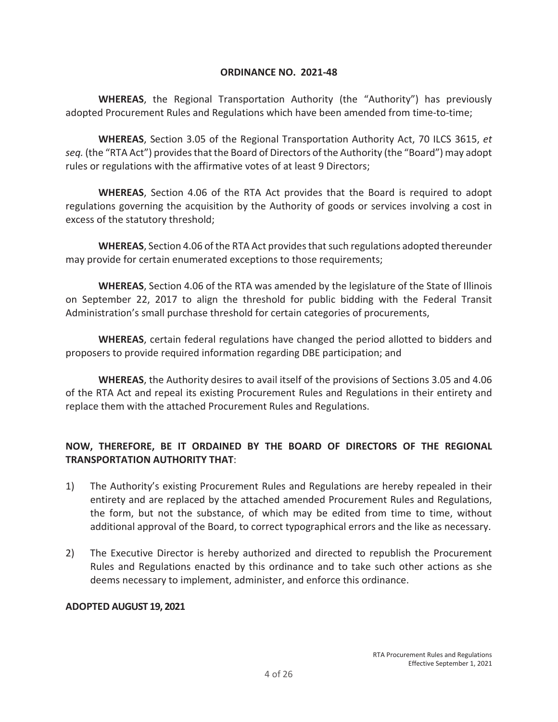#### **ORDINANCE NO. 2021-48**

**WHEREAS**, the Regional Transportation Authority (the "Authority") has previously adopted Procurement Rules and Regulations which have been amended from time-to-time;

**WHEREAS**, Section 3.05 of the Regional Transportation Authority Act, 70 ILCS 3615, *et seq.* (the "RTA Act") provides that the Board of Directors of the Authority (the "Board") may adopt rules or regulations with the affirmative votes of at least 9 Directors;

**WHEREAS**, Section 4.06 of the RTA Act provides that the Board is required to adopt regulations governing the acquisition by the Authority of goods or services involving a cost in excess of the statutory threshold;

**WHEREAS**, Section 4.06 of the RTA Act provides that such regulations adopted thereunder may provide for certain enumerated exceptions to those requirements;

**WHEREAS**, Section 4.06 of the RTA was amended by the legislature of the State of Illinois on September 22, 2017 to align the threshold for public bidding with the Federal Transit Administration's small purchase threshold for certain categories of procurements,

**WHEREAS**, certain federal regulations have changed the period allotted to bidders and proposers to provide required information regarding DBE participation; and

**WHEREAS**, the Authority desires to avail itself of the provisions of Sections 3.05 and 4.06 of the RTA Act and repeal its existing Procurement Rules and Regulations in their entirety and replace them with the attached Procurement Rules and Regulations.

# **NOW, THEREFORE, BE IT ORDAINED BY THE BOARD OF DIRECTORS OF THE REGIONAL TRANSPORTATION AUTHORITY THAT**:

- 1) The Authority's existing Procurement Rules and Regulations are hereby repealed in their entirety and are replaced by the attached amended Procurement Rules and Regulations, the form, but not the substance, of which may be edited from time to time, without additional approval of the Board, to correct typographical errors and the like as necessary.
- 2) The Executive Director is hereby authorized and directed to republish the Procurement Rules and Regulations enacted by this ordinance and to take such other actions as she deems necessary to implement, administer, and enforce this ordinance.

#### **ADOPTED AUGUST 19, 2021**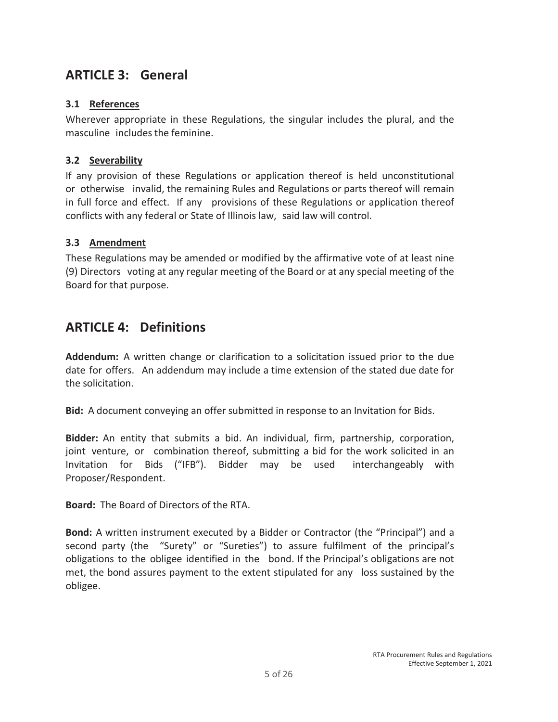# **ARTICLE 3: General**

### **3.1 References**

Wherever appropriate in these Regulations, the singular includes the plural, and the masculine includes the feminine.

### **3.2 Severability**

If any provision of these Regulations or application thereof is held unconstitutional or otherwise invalid, the remaining Rules and Regulations or parts thereof will remain in full force and effect. If any provisions of these Regulations or application thereof conflicts with any federal or State of Illinois law, said law will control.

### **3.3 Amendment**

These Regulations may be amended or modified by the affirmative vote of at least nine (9) Directors voting at any regular meeting of the Board or at any special meeting of the Board for that purpose.

# **ARTICLE 4: Definitions**

**Addendum:** A written change or clarification to a solicitation issued prior to the due date for offers. An addendum may include a time extension of the stated due date for the solicitation.

**Bid:** A document conveying an offer submitted in response to an Invitation for Bids.

**Bidder:** An entity that submits a bid. An individual, firm, partnership, corporation, joint venture, or combination thereof, submitting a bid for the work solicited in an Invitation for Bids ("IFB"). Bidder may be used interchangeably with Proposer/Respondent.

**Board:** The Board of Directors of the RTA.

**Bond:** A written instrument executed by a Bidder or Contractor (the "Principal") and a second party (the "Surety" or "Sureties") to assure fulfilment of the principal's obligations to the obligee identified in the bond. If the Principal's obligations are not met, the bond assures payment to the extent stipulated for any loss sustained by the obligee.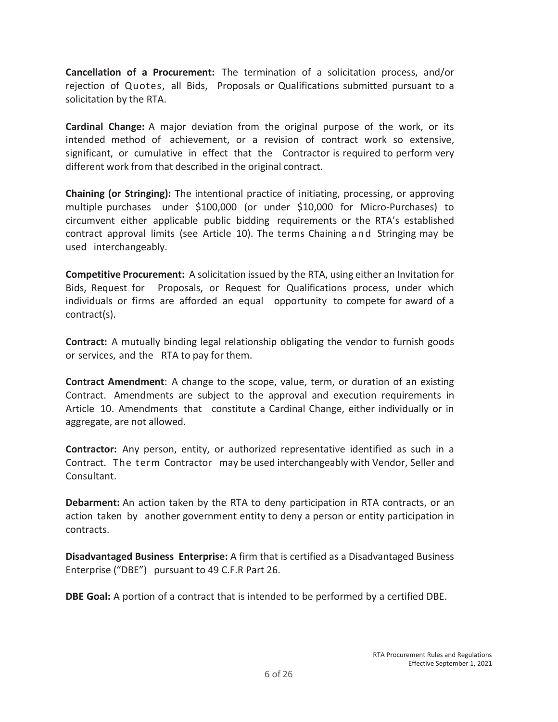**Cancellation of a Procurement:** The termination of a solicitation process, and/or rejection of Quotes, all Bids, Proposals or Qualifications submitted pursuant to a solicitation by the RTA.

**Cardinal Change:** A major deviation from the original purpose of the work, or its intended method of achievement, or a revision of contract work so extensive, significant, or cumulative in effect that the Contractor is required to perform very different work from that described in the original contract.

**Chaining (or Stringing):** The intentional practice of initiating, processing, or approving multiple purchases under \$100,000 (or under \$10,000 for Micro-Purchases) to circumvent either applicable public bidding requirements or the RTA's established contract approval limits (see Article 10). The terms Chaining an d Stringing may be used interchangeably.

**Competitive Procurement:** A solicitation issued by the RTA, using either an Invitation for Bids, Request for Proposals, or Request for Qualifications process, under which individuals or firms are afforded an equal opportunity to compete for award of a contract(s).

**Contract:** A mutually binding legal relationship obligating the vendor to furnish goods or services, and the RTA to pay for them.

**Contract Amendment**: A change to the scope, value, term, or duration of an existing Contract. Amendments are subject to the approval and execution requirements in Article 10. Amendments that constitute a Cardinal Change, either individually or in aggregate, are not allowed.

**Contractor:** Any person, entity, or authorized representative identified as such in a Contract. The term Contractor may be used interchangeably with Vendor, Seller and Consultant.

**Debarment:** An action taken by the RTA to deny participation in RTA contracts, or an action taken by another government entity to deny a person or entity participation in contracts.

**Disadvantaged Business Enterprise:** A firm that is certified as a Disadvantaged Business Enterprise ("DBE") pursuant to 49 C.F.R Part 26.

**DBE Goal:** A portion of a contract that is intended to be performed by a certified DBE.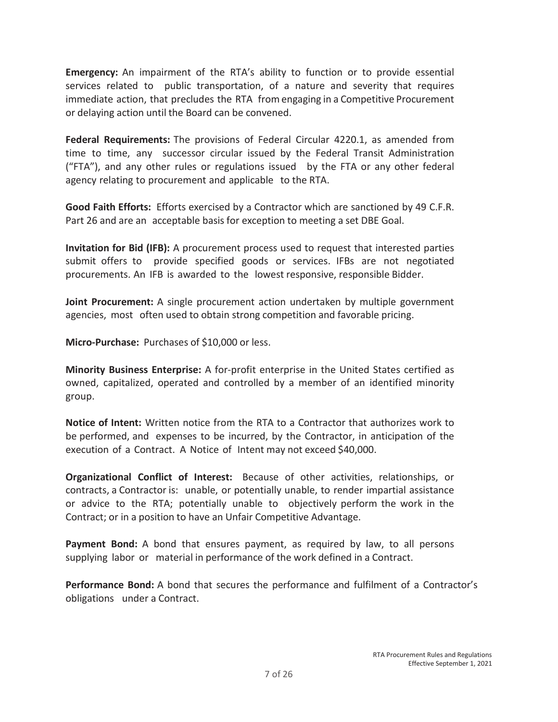**Emergency:** An impairment of the RTA's ability to function or to provide essential services related to public transportation, of a nature and severity that requires immediate action, that precludes the RTA from engaging in a Competitive Procurement or delaying action until the Board can be convened.

**Federal Requirements:** The provisions of Federal Circular 4220.1, as amended from time to time, any successor circular issued by the Federal Transit Administration ("FTA"), and any other rules or regulations issued by the FTA or any other federal agency relating to procurement and applicable to the RTA.

**Good Faith Efforts:** Efforts exercised by a Contractor which are sanctioned by 49 C.F.R. Part 26 and are an acceptable basis for exception to meeting a set DBE Goal.

**Invitation for Bid (IFB):** A procurement process used to request that interested parties submit offers to provide specified goods or services. IFBs are not negotiated procurements. An IFB is awarded to the lowest responsive, responsible Bidder.

**Joint Procurement:** A single procurement action undertaken by multiple government agencies, most often used to obtain strong competition and favorable pricing.

**Micro-Purchase:** Purchases of \$10,000 or less.

**Minority Business Enterprise:** A for-profit enterprise in the United States certified as owned, capitalized, operated and controlled by a member of an identified minority group.

**Notice of Intent:** Written notice from the RTA to a Contractor that authorizes work to be performed, and expenses to be incurred, by the Contractor, in anticipation of the execution of a Contract. A Notice of Intent may not exceed \$40,000.

**Organizational Conflict of Interest:** Because of other activities, relationships, or contracts, a Contractor is: unable, or potentially unable, to render impartial assistance or advice to the RTA; potentially unable to objectively perform the work in the Contract; or in a position to have an Unfair Competitive Advantage.

**Payment Bond:** A bond that ensures payment, as required by law, to all persons supplying labor or material in performance of the work defined in a Contract.

**Performance Bond:** A bond that secures the performance and fulfilment of a Contractor's obligations under a Contract.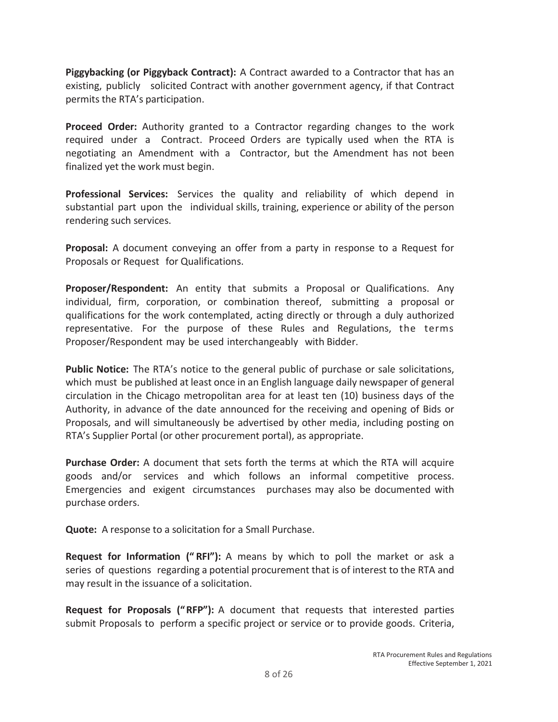**Piggybacking (or Piggyback Contract):** A Contract awarded to a Contractor that has an existing, publicly solicited Contract with another government agency, if that Contract permits the RTA's participation.

**Proceed Order:** Authority granted to a Contractor regarding changes to the work required under a Contract. Proceed Orders are typically used when the RTA is negotiating an Amendment with a Contractor, but the Amendment has not been finalized yet the work must begin.

**Professional Services:** Services the quality and reliability of which depend in substantial part upon the individual skills, training, experience or ability of the person rendering such services.

**Proposal:** A document conveying an offer from a party in response to a Request for Proposals or Request for Qualifications.

**Proposer/Respondent:** An entity that submits a Proposal or Qualifications. Any individual, firm, corporation, or combination thereof, submitting a proposal or qualifications for the work contemplated, acting directly or through a duly authorized representative. For the purpose of these Rules and Regulations, the terms Proposer/Respondent may be used interchangeably with Bidder.

**Public Notice:** The RTA's notice to the general public of purchase or sale solicitations, which must be published at least once in an English language daily newspaper of general circulation in the Chicago metropolitan area for at least ten (10) business days of the Authority, in advance of the date announced for the receiving and opening of Bids or Proposals, and will simultaneously be advertised by other media, including posting on RTA's Supplier Portal (or other procurement portal), as appropriate.

**Purchase Order:** A document that sets forth the terms at which the RTA will acquire goods and/or services and which follows an informal competitive process. Emergencies and exigent circumstances purchases may also be documented with purchase orders.

**Quote:** A response to a solicitation for a Small Purchase.

**Request for Information (" RFI"):** A means by which to poll the market or ask a series of questions regarding a potential procurement that is of interest to the RTA and may result in the issuance of a solicitation.

**Request for Proposals (" RFP"):** A document that requests that interested parties submit Proposals to perform a specific project or service or to provide goods. Criteria,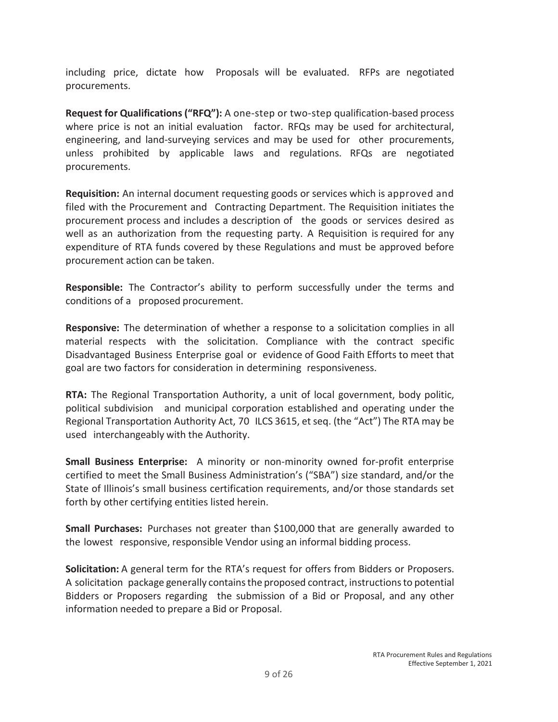including price, dictate how Proposals will be evaluated. RFPs are negotiated procurements.

**Request for Qualifications ("RFQ"):** A one-step or two-step qualification-based process where price is not an initial evaluation factor. RFQs may be used for architectural, engineering, and land-surveying services and may be used for other procurements, unless prohibited by applicable laws and regulations. RFQs are negotiated procurements.

**Requisition:** An internal document requesting goods or services which is approved and filed with the Procurement and Contracting Department. The Requisition initiates the procurement process and includes a description of the goods or services desired as well as an authorization from the requesting party. A Requisition is required for any expenditure of RTA funds covered by these Regulations and must be approved before procurement action can be taken.

**Responsible:** The Contractor's ability to perform successfully under the terms and conditions of a proposed procurement.

**Responsive:** The determination of whether a response to a solicitation complies in all material respects with the solicitation. Compliance with the contract specific Disadvantaged Business Enterprise goal or evidence of Good Faith Efforts to meet that goal are two factors for consideration in determining responsiveness.

**RTA:** The Regional Transportation Authority, a unit of local government, body politic, political subdivision and municipal corporation established and operating under the Regional Transportation Authority Act, 70 ILCS 3615, et seq. (the "Act") The RTA may be used interchangeably with the Authority.

**Small Business Enterprise:** A minority or non-minority owned for-profit enterprise certified to meet the Small Business Administration's ("SBA") size standard, and/or the State of Illinois's small business certification requirements, and/or those standards set forth by other certifying entities listed herein.

**Small Purchases:** Purchases not greater than \$100,000 that are generally awarded to the lowest responsive, responsible Vendor using an informal bidding process.

**Solicitation:** A general term for the RTA's request for offers from Bidders or Proposers. A solicitation package generally contains the proposed contract, instructions to potential Bidders or Proposers regarding the submission of a Bid or Proposal, and any other information needed to prepare a Bid or Proposal.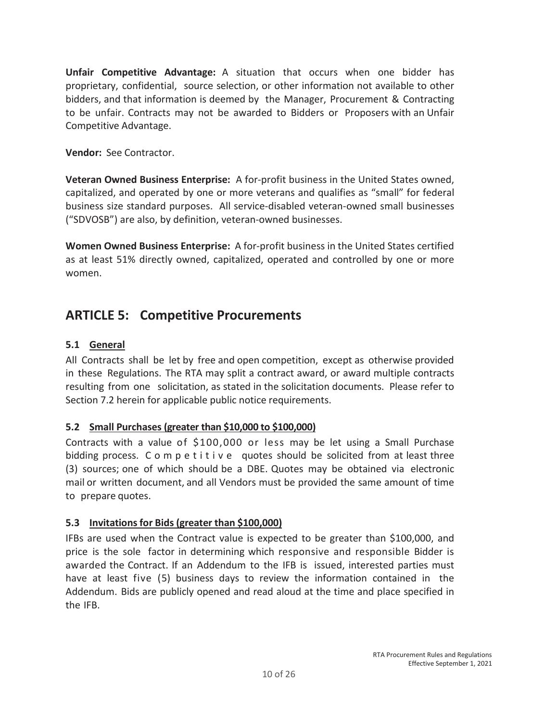**Unfair Competitive Advantage:** A situation that occurs when one bidder has proprietary, confidential, source selection, or other information not available to other bidders, and that information is deemed by the Manager, Procurement & Contracting to be unfair. Contracts may not be awarded to Bidders or Proposers with an Unfair Competitive Advantage.

### **Vendor:** See Contractor.

**Veteran Owned Business Enterprise:** A for-profit business in the United States owned, capitalized, and operated by one or more veterans and qualifies as "small" for federal business size standard purposes. All service-disabled veteran-owned small businesses ("SDVOSB") are also, by definition, veteran-owned businesses.

**Women Owned Business Enterprise:** A for-profit business in the United States certified as at least 51% directly owned, capitalized, operated and controlled by one or more women.

# **ARTICLE 5: Competitive Procurements**

### **5.1 General**

All Contracts shall be let by free and open competition, except as otherwise provided in these Regulations. The RTA may split a contract award, or award multiple contracts resulting from one solicitation, as stated in the solicitation documents. Please refer to Section 7.2 herein for applicable public notice requirements.

# **5.2 Small Purchases (greater than \$10,000 to \$100,000)**

Contracts with a value of \$100,000 or less may be let using a Small Purchase bidding process. C o m p e t i t i v e quotes should be solicited from at least three (3) sources; one of which should be a DBE. Quotes may be obtained via electronic mail or written document, and all Vendors must be provided the same amount of time to prepare quotes.

### **5.3 Invitations for Bids (greater than \$100,000)**

IFBs are used when the Contract value is expected to be greater than \$100,000, and price is the sole factor in determining which responsive and responsible Bidder is awarded the Contract. If an Addendum to the IFB is issued, interested parties must have at least five (5) business days to review the information contained in the Addendum. Bids are publicly opened and read aloud at the time and place specified in the IFB.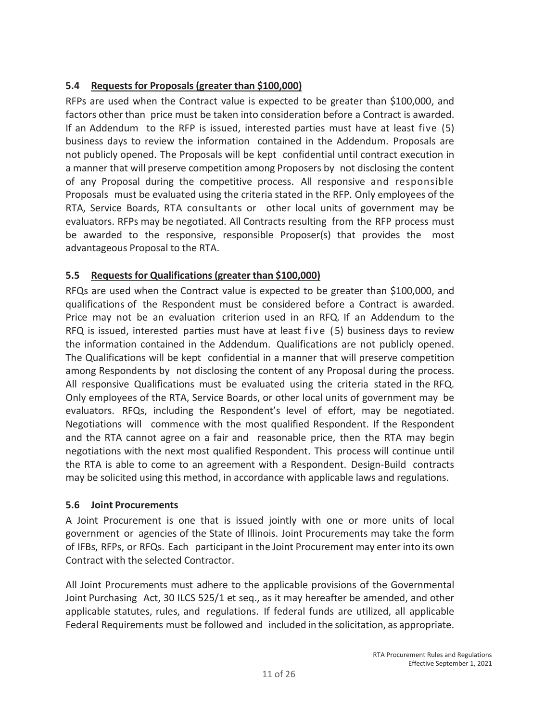# **5.4 Requests for Proposals (greater than \$100,000)**

RFPs are used when the Contract value is expected to be greater than \$100,000, and factors other than price must be taken into consideration before a Contract is awarded. If an Addendum to the RFP is issued, interested parties must have at least five (5) business days to review the information contained in the Addendum. Proposals are not publicly opened. The Proposals will be kept confidential until contract execution in a manner that will preserve competition among Proposers by not disclosing the content of any Proposal during the competitive process. All responsive and responsible Proposals must be evaluated using the criteria stated in the RFP. Only employees of the RTA, Service Boards, RTA consultants or other local units of government may be evaluators. RFPs may be negotiated. All Contracts resulting from the RFP process must be awarded to the responsive, responsible Proposer(s) that provides the most advantageous Proposal to the RTA.

# **5.5 Requests for Qualifications (greater than \$100,000)**

RFQs are used when the Contract value is expected to be greater than \$100,000, and qualifications of the Respondent must be considered before a Contract is awarded. Price may not be an evaluation criterion used in an RFQ. If an Addendum to the RFQ is issued, interested parties must have at least five  $(5)$  business days to review the information contained in the Addendum. Qualifications are not publicly opened. The Qualifications will be kept confidential in a manner that will preserve competition among Respondents by not disclosing the content of any Proposal during the process. All responsive Qualifications must be evaluated using the criteria stated in the RFQ. Only employees of the RTA, Service Boards, or other local units of government may be evaluators. RFQs, including the Respondent's level of effort, may be negotiated. Negotiations will commence with the most qualified Respondent. If the Respondent and the RTA cannot agree on a fair and reasonable price, then the RTA may begin negotiations with the next most qualified Respondent. This process will continue until the RTA is able to come to an agreement with a Respondent. Design-Build contracts may be solicited using this method, in accordance with applicable laws and regulations.

# **5.6 Joint Procurements**

A Joint Procurement is one that is issued jointly with one or more units of local government or agencies of the State of Illinois. Joint Procurements may take the form of IFBs, RFPs, or RFQs. Each participant in the Joint Procurement may enter into its own Contract with the selected Contractor.

All Joint Procurements must adhere to the applicable provisions of the Governmental Joint Purchasing Act, 30 ILCS 525/1 et seq., as it may hereafter be amended, and other applicable statutes, rules, and regulations. If federal funds are utilized, all applicable Federal Requirements must be followed and included in the solicitation, as appropriate.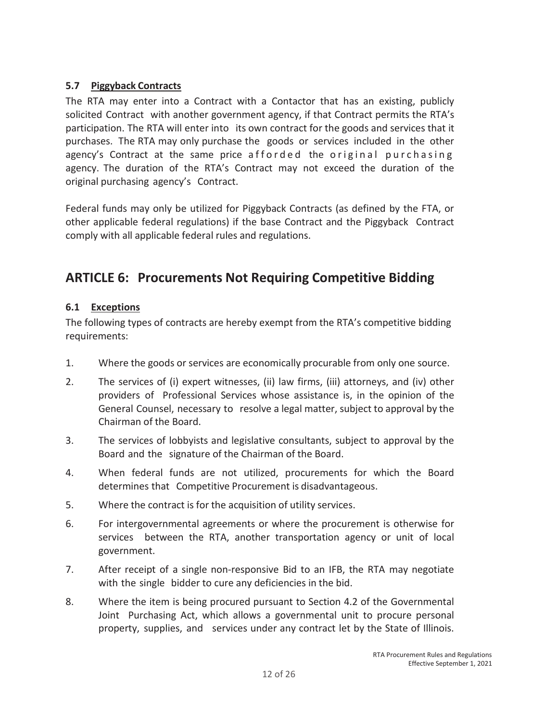### **5.7 Piggyback Contracts**

The RTA may enter into a Contract with a Contactor that has an existing, publicly solicited Contract with another government agency, if that Contract permits the RTA's participation. The RTA will enter into its own contract for the goods and services that it purchases. The RTA may only purchase the goods or services included in the other agency's Contract at the same price afforded the original purchasing agency. The duration of the RTA's Contract may not exceed the duration of the original purchasing agency's Contract.

Federal funds may only be utilized for Piggyback Contracts (as defined by the FTA, or other applicable federal regulations) if the base Contract and the Piggyback Contract comply with all applicable federal rules and regulations.

# **ARTICLE 6: Procurements Not Requiring Competitive Bidding**

### **6.1 Exceptions**

The following types of contracts are hereby exempt from the RTA's competitive bidding requirements:

- 1. Where the goods or services are economically procurable from only one source.
- 2. The services of (i) expert witnesses, (ii) law firms, (iii) attorneys, and (iv) other providers of Professional Services whose assistance is, in the opinion of the General Counsel, necessary to resolve a legal matter, subject to approval by the Chairman of the Board.
- 3. The services of lobbyists and legislative consultants, subject to approval by the Board and the signature of the Chairman of the Board.
- 4. When federal funds are not utilized, procurements for which the Board determines that Competitive Procurement is disadvantageous.
- 5. Where the contract is for the acquisition of utility services.
- 6. For intergovernmental agreements or where the procurement is otherwise for services between the RTA, another transportation agency or unit of local government.
- 7. After receipt of a single non-responsive Bid to an IFB, the RTA may negotiate with the single bidder to cure any deficiencies in the bid.
- 8. Where the item is being procured pursuant to Section 4.2 of the Governmental Joint Purchasing Act, which allows a governmental unit to procure personal property, supplies, and services under any contract let by the State of Illinois.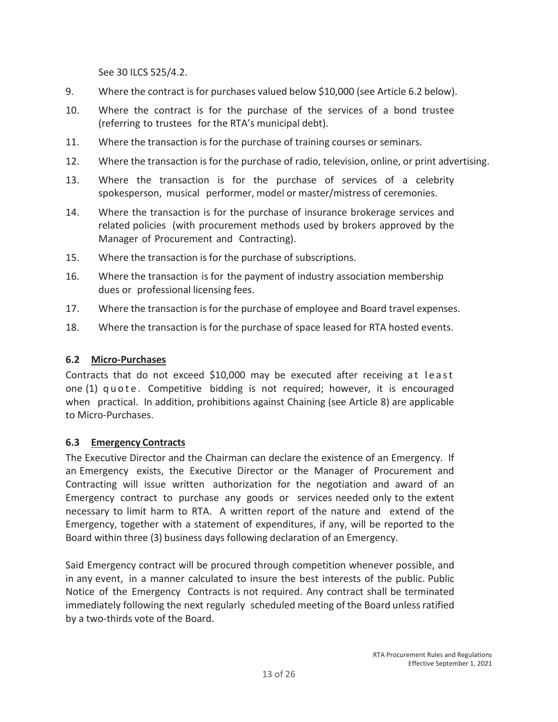See 30 ILCS 525/4.2.

- 9. Where the contract is for purchases valued below \$10,000 (see Article 6.2 below).
- 10. Where the contract is for the purchase of the services of a bond trustee (referring to trustees for the RTA's municipal debt).
- 11. Where the transaction is for the purchase of training courses or seminars.
- 12. Where the transaction is for the purchase of radio, television, online, or print advertising.
- 13. Where the transaction is for the purchase of services of a celebrity spokesperson, musical performer, model or master/mistress of ceremonies.
- 14. Where the transaction is for the purchase of insurance brokerage services and related policies (with procurement methods used by brokers approved by the Manager of Procurement and Contracting).
- 15. Where the transaction is for the purchase of subscriptions.
- 16. Where the transaction is for the payment of industry association membership dues or professional licensing fees.
- 17. Where the transaction is for the purchase of employee and Board travel expenses.
- 18. Where the transaction is for the purchase of space leased for RTA hosted events.

### **6.2 Micro-Purchases**

Contracts that do not exceed \$10,000 may be executed after receiving at least one (1) quote. Competitive bidding is not required; however, it is encouraged when practical. In addition, prohibitions against Chaining (see Article 8) are applicable to Micro-Purchases.

### **6.3 Emergency Contracts**

The Executive Director and the Chairman can declare the existence of an Emergency. If an Emergency exists, the Executive Director or the Manager of Procurement and Contracting will issue written authorization for the negotiation and award of an Emergency contract to purchase any goods or services needed only to the extent necessary to limit harm to RTA. A written report of the nature and extend of the Emergency, together with a statement of expenditures, if any, will be reported to the Board within three (3) business days following declaration of an Emergency.

Said Emergency contract will be procured through competition whenever possible, and in any event, in a manner calculated to insure the best interests of the public. Public Notice of the Emergency Contracts is not required. Any contract shall be terminated immediately following the next regularly scheduled meeting of the Board unless ratified by a two-thirds vote of the Board.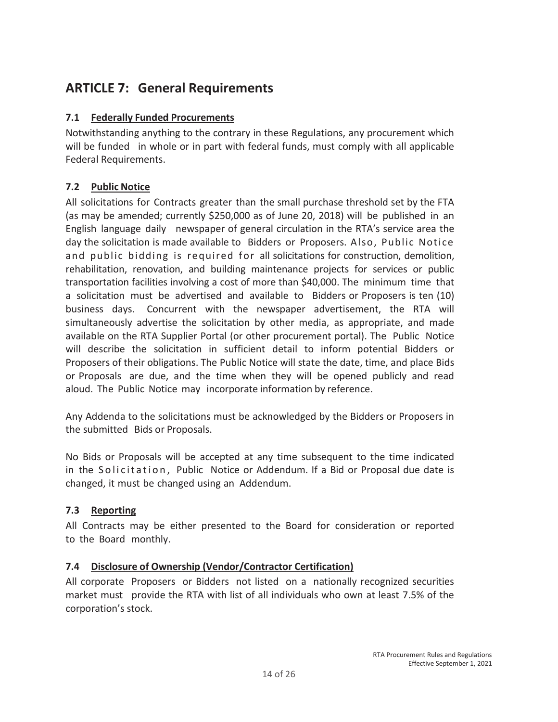# **ARTICLE 7: General Requirements**

### **7.1 Federally Funded Procurements**

Notwithstanding anything to the contrary in these Regulations, any procurement which will be funded in whole or in part with federal funds, must comply with all applicable Federal Requirements.

# **7.2 Public Notice**

All solicitations for Contracts greater than the small purchase threshold set by the FTA (as may be amended; currently \$250,000 as of June 20, 2018) will be published in an English language daily newspaper of general circulation in the RTA's service area the day the solicitation is made available to Bidders or Proposers. Also, Public Notice and public bidding is required for all solicitations for construction, demolition, rehabilitation, renovation, and building maintenance projects for services or public transportation facilities involving a cost of more than \$40,000. The minimum time that a solicitation must be advertised and available to Bidders or Proposers is ten (10) business days. Concurrent with the newspaper advertisement, the RTA will simultaneously advertise the solicitation by other media, as appropriate, and made available on the RTA Supplier Portal (or other procurement portal). The Public Notice will describe the solicitation in sufficient detail to inform potential Bidders or Proposers of their obligations. The Public Notice will state the date, time, and place Bids or Proposals are due, and the time when they will be opened publicly and read aloud. The Public Notice may incorporate information by reference.

Any Addenda to the solicitations must be acknowledged by the Bidders or Proposers in the submitted Bids or Proposals.

No Bids or Proposals will be accepted at any time subsequent to the time indicated in the Solicitation, Public Notice or Addendum. If a Bid or Proposal due date is changed, it must be changed using an Addendum.

### **7.3 Reporting**

All Contracts may be either presented to the Board for consideration or reported to the Board monthly.

### **7.4 Disclosure of Ownership (Vendor/Contractor Certification)**

All corporate Proposers or Bidders not listed on a nationally recognized securities market must provide the RTA with list of all individuals who own at least 7.5% of the corporation's stock.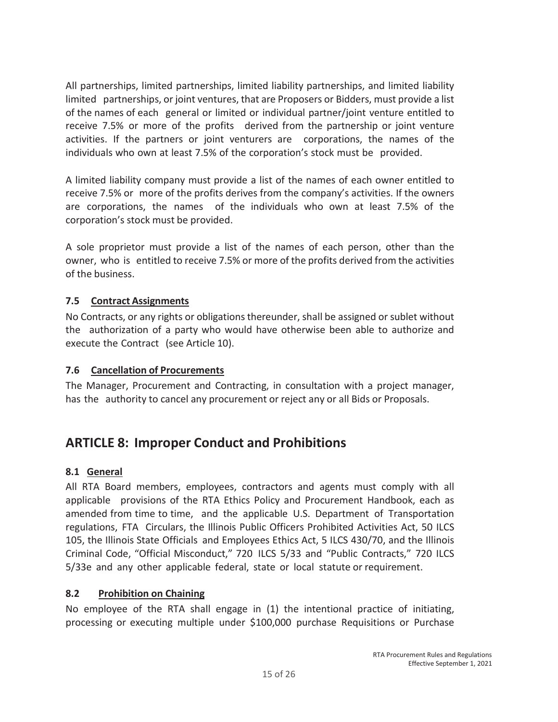All partnerships, limited partnerships, limited liability partnerships, and limited liability limited partnerships, or joint ventures, that are Proposers or Bidders, must provide a list of the names of each general or limited or individual partner/joint venture entitled to receive 7.5% or more of the profits derived from the partnership or joint venture activities. If the partners or joint venturers are corporations, the names of the individuals who own at least 7.5% of the corporation's stock must be provided.

A limited liability company must provide a list of the names of each owner entitled to receive 7.5% or more of the profits derives from the company's activities. If the owners are corporations, the names of the individuals who own at least 7.5% of the corporation's stock must be provided.

A sole proprietor must provide a list of the names of each person, other than the owner, who is entitled to receive 7.5% or more of the profits derived from the activities of the business.

### **7.5 Contract Assignments**

No Contracts, or any rights or obligations thereunder, shall be assigned or sublet without the authorization of a party who would have otherwise been able to authorize and execute the Contract (see Article 10).

### **7.6 Cancellation of Procurements**

The Manager, Procurement and Contracting, in consultation with a project manager, has the authority to cancel any procurement or reject any or all Bids or Proposals.

# **ARTICLE 8: Improper Conduct and Prohibitions**

### **8.1 General**

All RTA Board members, employees, contractors and agents must comply with all applicable provisions of the RTA Ethics Policy and Procurement Handbook, each as amended from time to time, and the applicable U.S. Department of Transportation regulations, FTA Circulars, the Illinois Public Officers Prohibited Activities Act, 50 ILCS 105, the Illinois State Officials and Employees Ethics Act, 5 ILCS 430/70, and the Illinois Criminal Code, "Official Misconduct," 720 ILCS 5/33 and "Public Contracts," 720 ILCS 5/33e and any other applicable federal, state or local statute or requirement.

#### **8.2 Prohibition on Chaining**

No employee of the RTA shall engage in (1) the intentional practice of initiating, processing or executing multiple under \$100,000 purchase Requisitions or Purchase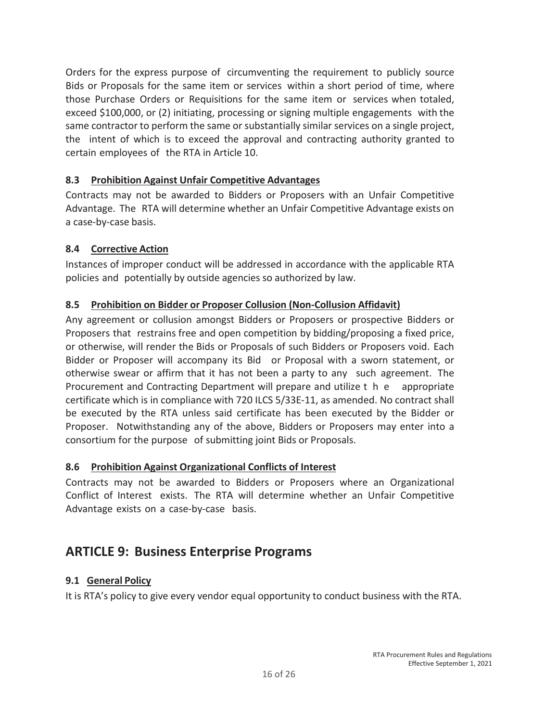Orders for the express purpose of circumventing the requirement to publicly source Bids or Proposals for the same item or services within a short period of time, where those Purchase Orders or Requisitions for the same item or services when totaled, exceed \$100,000, or (2) initiating, processing or signing multiple engagements with the same contractor to perform the same or substantially similar services on a single project, the intent of which is to exceed the approval and contracting authority granted to certain employees of the RTA in Article 10.

### **8.3 Prohibition Against Unfair Competitive Advantages**

Contracts may not be awarded to Bidders or Proposers with an Unfair Competitive Advantage. The RTA will determine whether an Unfair Competitive Advantage exists on a case-by-case basis.

### **8.4 Corrective Action**

Instances of improper conduct will be addressed in accordance with the applicable RTA policies and potentially by outside agencies so authorized by law.

# **8.5 Prohibition on Bidder or Proposer Collusion (Non-Collusion Affidavit)**

Any agreement or collusion amongst Bidders or Proposers or prospective Bidders or Proposers that restrains free and open competition by bidding/proposing a fixed price, or otherwise, will render the Bids or Proposals of such Bidders or Proposers void. Each Bidder or Proposer will accompany its Bid or Proposal with a sworn statement, or otherwise swear or affirm that it has not been a party to any such agreement. The Procurement and Contracting Department will prepare and utilize t h e appropriate certificate which is in compliance with 720 ILCS 5/33E-11, as amended. No contract shall be executed by the RTA unless said certificate has been executed by the Bidder or Proposer. Notwithstanding any of the above, Bidders or Proposers may enter into a consortium for the purpose of submitting joint Bids or Proposals.

### **8.6 Prohibition Against Organizational Conflicts of Interest**

Contracts may not be awarded to Bidders or Proposers where an Organizational Conflict of Interest exists. The RTA will determine whether an Unfair Competitive Advantage exists on a case-by-case basis.

# **ARTICLE 9: Business Enterprise Programs**

### **9.1 General Policy**

It is RTA's policy to give every vendor equal opportunity to conduct business with the RTA.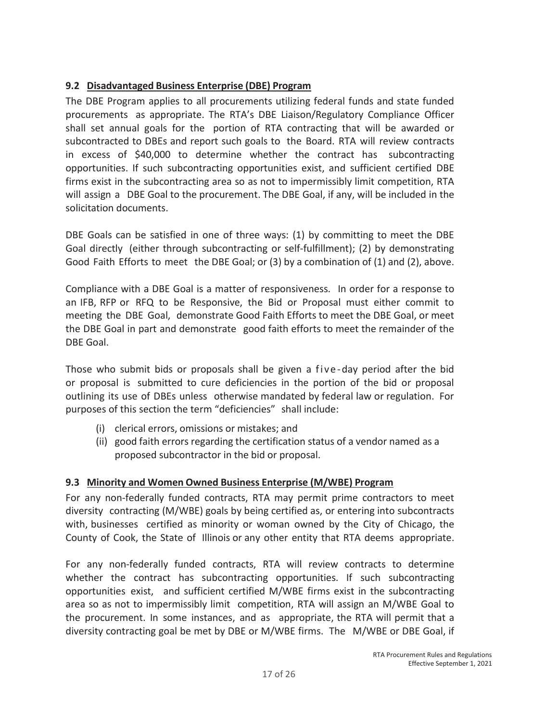# **9.2 Disadvantaged Business Enterprise (DBE) Program**

The DBE Program applies to all procurements utilizing federal funds and state funded procurements as appropriate. The RTA's DBE Liaison/Regulatory Compliance Officer shall set annual goals for the portion of RTA contracting that will be awarded or subcontracted to DBEs and report such goals to the Board. RTA will review contracts in excess of \$40,000 to determine whether the contract has subcontracting opportunities. If such subcontracting opportunities exist, and sufficient certified DBE firms exist in the subcontracting area so as not to impermissibly limit competition, RTA will assign a DBE Goal to the procurement. The DBE Goal, if any, will be included in the solicitation documents.

DBE Goals can be satisfied in one of three ways: (1) by committing to meet the DBE Goal directly (either through subcontracting or self-fulfillment); (2) by demonstrating Good Faith Efforts to meet the DBE Goal; or (3) by a combination of (1) and (2), above.

Compliance with a DBE Goal is a matter of responsiveness. In order for a response to an IFB, RFP or RFQ to be Responsive, the Bid or Proposal must either commit to meeting the DBE Goal, demonstrate Good Faith Efforts to meet the DBE Goal, or meet the DBE Goal in part and demonstrate good faith efforts to meet the remainder of the DBE Goal.

Those who submit bids or proposals shall be given a five-day period after the bid or proposal is submitted to cure deficiencies in the portion of the bid or proposal outlining its use of DBEs unless otherwise mandated by federal law or regulation. For purposes of this section the term "deficiencies" shall include:

- (i) clerical errors, omissions or mistakes; and
- (ii) good faith errors regarding the certification status of a vendor named as a proposed subcontractor in the bid or proposal.

# **9.3 Minority and Women Owned Business Enterprise (M/WBE) Program**

For any non-federally funded contracts, RTA may permit prime contractors to meet diversity contracting (M/WBE) goals by being certified as, or entering into subcontracts with, businesses certified as minority or woman owned by the City of Chicago, the County of Cook, the State of Illinois or any other entity that RTA deems appropriate.

For any non-federally funded contracts, RTA will review contracts to determine whether the contract has subcontracting opportunities. If such subcontracting opportunities exist, and sufficient certified M/WBE firms exist in the subcontracting area so as not to impermissibly limit competition, RTA will assign an M/WBE Goal to the procurement. In some instances, and as appropriate, the RTA will permit that a diversity contracting goal be met by DBE or M/WBE firms. The M/WBE or DBE Goal, if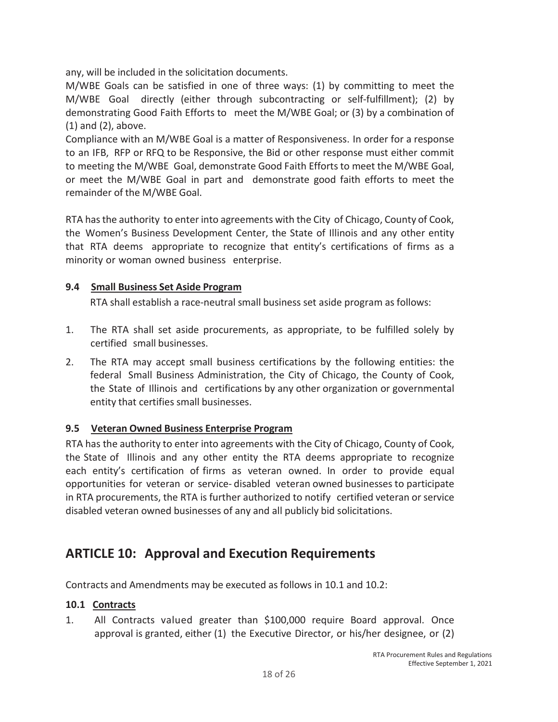any, will be included in the solicitation documents.

M/WBE Goals can be satisfied in one of three ways: (1) by committing to meet the M/WBE Goal directly (either through subcontracting or self-fulfillment); (2) by demonstrating Good Faith Efforts to meet the M/WBE Goal; or (3) by a combination of (1) and (2), above.

Compliance with an M/WBE Goal is a matter of Responsiveness. In order for a response to an IFB, RFP or RFQ to be Responsive, the Bid or other response must either commit to meeting the M/WBE Goal, demonstrate Good Faith Efforts to meet the M/WBE Goal, or meet the M/WBE Goal in part and demonstrate good faith efforts to meet the remainder of the M/WBE Goal.

RTA has the authority to enter into agreements with the City of Chicago, County of Cook, the Women's Business Development Center, the State of Illinois and any other entity that RTA deems appropriate to recognize that entity's certifications of firms as a minority or woman owned business enterprise.

### **9.4 Small Business Set Aside Program**

RTA shall establish a race-neutral small business set aside program as follows:

- 1. The RTA shall set aside procurements, as appropriate, to be fulfilled solely by certified small businesses.
- 2. The RTA may accept small business certifications by the following entities: the federal Small Business Administration, the City of Chicago, the County of Cook, the State of Illinois and certifications by any other organization or governmental entity that certifies small businesses.

# **9.5 Veteran Owned Business Enterprise Program**

RTA has the authority to enter into agreements with the City of Chicago, County of Cook, the State of Illinois and any other entity the RTA deems appropriate to recognize each entity's certification of firms as veteran owned. In order to provide equal opportunities for veteran or service- disabled veteran owned businesses to participate in RTA procurements, the RTA is further authorized to notify certified veteran or service disabled veteran owned businesses of any and all publicly bid solicitations.

# **ARTICLE 10: Approval and Execution Requirements**

Contracts and Amendments may be executed as follows in 10.1 and 10.2:

### **10.1 Contracts**

1. All Contracts valued greater than \$100,000 require Board approval. Once approval is granted, either (1) the Executive Director, or his/her designee, or (2)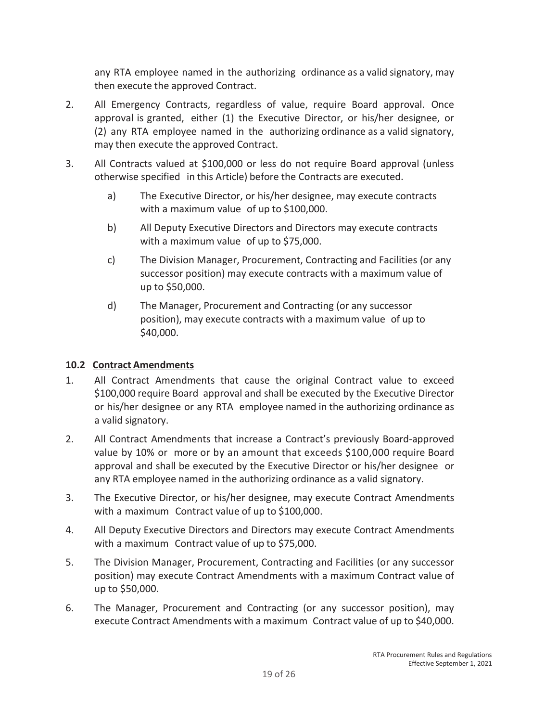any RTA employee named in the authorizing ordinance as a valid signatory, may then execute the approved Contract.

- 2. All Emergency Contracts, regardless of value, require Board approval. Once approval is granted, either (1) the Executive Director, or his/her designee, or (2) any RTA employee named in the authorizing ordinance as a valid signatory, may then execute the approved Contract.
- 3. All Contracts valued at \$100,000 or less do not require Board approval (unless otherwise specified in this Article) before the Contracts are executed.
	- a) The Executive Director, or his/her designee, may execute contracts with a maximum value of up to \$100,000.
	- b) All Deputy Executive Directors and Directors may execute contracts with a maximum value of up to \$75,000.
	- c) The Division Manager, Procurement, Contracting and Facilities (or any successor position) may execute contracts with a maximum value of up to \$50,000.
	- d) The Manager, Procurement and Contracting (or any successor position), may execute contracts with a maximum value of up to \$40,000.

# **10.2 Contract Amendments**

- 1. All Contract Amendments that cause the original Contract value to exceed \$100,000 require Board approval and shall be executed by the Executive Director or his/her designee or any RTA employee named in the authorizing ordinance as a valid signatory.
- 2. All Contract Amendments that increase a Contract's previously Board-approved value by 10% or more or by an amount that exceeds \$100,000 require Board approval and shall be executed by the Executive Director or his/her designee or any RTA employee named in the authorizing ordinance as a valid signatory.
- 3. The Executive Director, or his/her designee, may execute Contract Amendments with a maximum Contract value of up to \$100,000.
- 4. All Deputy Executive Directors and Directors may execute Contract Amendments with a maximum Contract value of up to \$75,000.
- 5. The Division Manager, Procurement, Contracting and Facilities (or any successor position) may execute Contract Amendments with a maximum Contract value of up to \$50,000.
- 6. The Manager, Procurement and Contracting (or any successor position), may execute Contract Amendments with a maximum Contract value of up to \$40,000.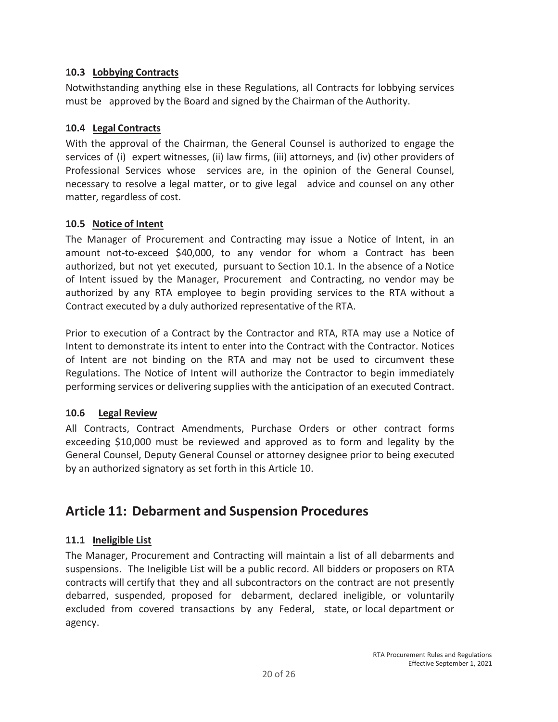### **10.3 Lobbying Contracts**

Notwithstanding anything else in these Regulations, all Contracts for lobbying services must be approved by the Board and signed by the Chairman of the Authority.

### **10.4 Legal Contracts**

With the approval of the Chairman, the General Counsel is authorized to engage the services of (i) expert witnesses, (ii) law firms, (iii) attorneys, and (iv) other providers of Professional Services whose services are, in the opinion of the General Counsel, necessary to resolve a legal matter, or to give legal advice and counsel on any other matter, regardless of cost.

### **10.5 Notice of Intent**

The Manager of Procurement and Contracting may issue a Notice of Intent, in an amount not-to-exceed \$40,000, to any vendor for whom a Contract has been authorized, but not yet executed, pursuant to Section 10.1. In the absence of a Notice of Intent issued by the Manager, Procurement and Contracting, no vendor may be authorized by any RTA employee to begin providing services to the RTA without a Contract executed by a duly authorized representative of the RTA.

Prior to execution of a Contract by the Contractor and RTA, RTA may use a Notice of Intent to demonstrate its intent to enter into the Contract with the Contractor. Notices of Intent are not binding on the RTA and may not be used to circumvent these Regulations. The Notice of Intent will authorize the Contractor to begin immediately performing services or delivering supplies with the anticipation of an executed Contract.

# **10.6 Legal Review**

All Contracts, Contract Amendments, Purchase Orders or other contract forms exceeding \$10,000 must be reviewed and approved as to form and legality by the General Counsel, Deputy General Counsel or attorney designee prior to being executed by an authorized signatory as set forth in this Article 10.

# **Article 11: Debarment and Suspension Procedures**

# **11.1 Ineligible List**

The Manager, Procurement and Contracting will maintain a list of all debarments and suspensions. The Ineligible List will be a public record. All bidders or proposers on RTA contracts will certify that they and all subcontractors on the contract are not presently debarred, suspended, proposed for debarment, declared ineligible, or voluntarily excluded from covered transactions by any Federal, state, or local department or agency.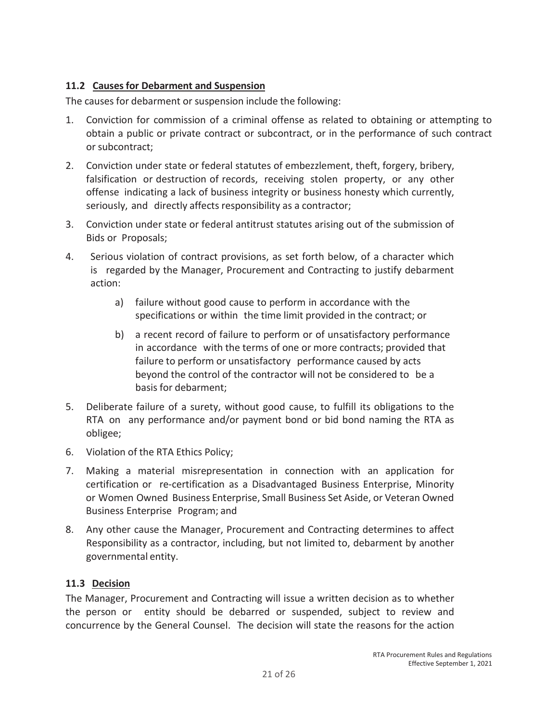### **11.2 Causes for Debarment and Suspension**

The causes for debarment or suspension include the following:

- 1. Conviction for commission of a criminal offense as related to obtaining or attempting to obtain a public or private contract or subcontract, or in the performance of such contract or subcontract;
- 2. Conviction under state or federal statutes of embezzlement, theft, forgery, bribery, falsification or destruction of records, receiving stolen property, or any other offense indicating a lack of business integrity or business honesty which currently, seriously, and directly affects responsibility as a contractor;
- 3. Conviction under state or federal antitrust statutes arising out of the submission of Bids or Proposals;
- 4. Serious violation of contract provisions, as set forth below, of a character which is regarded by the Manager, Procurement and Contracting to justify debarment action:
	- a) failure without good cause to perform in accordance with the specifications or within the time limit provided in the contract; or
	- b) a recent record of failure to perform or of unsatisfactory performance in accordance with the terms of one or more contracts; provided that failure to perform or unsatisfactory performance caused by acts beyond the control of the contractor will not be considered to be a basis for debarment;
- 5. Deliberate failure of a surety, without good cause, to fulfill its obligations to the RTA on any performance and/or payment bond or bid bond naming the RTA as obligee;
- 6. Violation of the RTA Ethics Policy;
- 7. Making a material misrepresentation in connection with an application for certification or re-certification as a Disadvantaged Business Enterprise, Minority or Women Owned Business Enterprise, Small Business Set Aside, or Veteran Owned Business Enterprise Program; and
- 8. Any other cause the Manager, Procurement and Contracting determines to affect Responsibility as a contractor, including, but not limited to, debarment by another governmental entity.

### **11.3 Decision**

The Manager, Procurement and Contracting will issue a written decision as to whether the person or entity should be debarred or suspended, subject to review and concurrence by the General Counsel. The decision will state the reasons for the action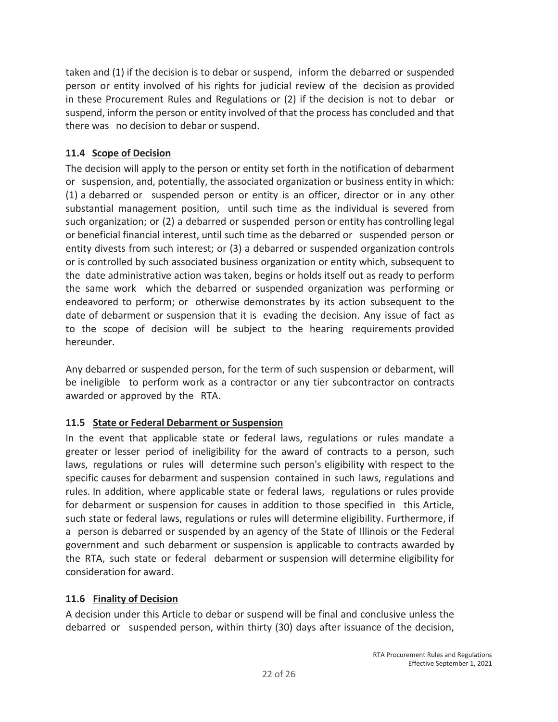taken and (1) if the decision is to debar or suspend, inform the debarred or suspended person or entity involved of his rights for judicial review of the decision as provided in these Procurement Rules and Regulations or (2) if the decision is not to debar or suspend, inform the person or entity involved of that the process has concluded and that there was no decision to debar or suspend.

# **11.4 Scope of Decision**

The decision will apply to the person or entity set forth in the notification of debarment or suspension, and, potentially, the associated organization or business entity in which: (1) a debarred or suspended person or entity is an officer, director or in any other substantial management position, until such time as the individual is severed from such organization; or (2) a debarred or suspended person or entity has controlling legal or beneficial financial interest, until such time as the debarred or suspended person or entity divests from such interest; or (3) a debarred or suspended organization controls or is controlled by such associated business organization or entity which, subsequent to the date administrative action was taken, begins or holds itself out as ready to perform the same work which the debarred or suspended organization was performing or endeavored to perform; or otherwise demonstrates by its action subsequent to the date of debarment or suspension that it is evading the decision. Any issue of fact as to the scope of decision will be subject to the hearing requirements provided hereunder.

Any debarred or suspended person, for the term of such suspension or debarment, will be ineligible to perform work as a contractor or any tier subcontractor on contracts awarded or approved by the RTA.

### **11.5 State or Federal Debarment or Suspension**

In the event that applicable state or federal laws, regulations or rules mandate a greater or lesser period of ineligibility for the award of contracts to a person, such laws, regulations or rules will determine such person's eligibility with respect to the specific causes for debarment and suspension contained in such laws, regulations and rules. In addition, where applicable state or federal laws, regulations or rules provide for debarment or suspension for causes in addition to those specified in this Article, such state or federal laws, regulations or rules will determine eligibility. Furthermore, if a person is debarred or suspended by an agency of the State of Illinois or the Federal government and such debarment or suspension is applicable to contracts awarded by the RTA, such state or federal debarment or suspension will determine eligibility for consideration for award.

### **11.6 Finality of Decision**

A decision under this Article to debar or suspend will be final and conclusive unless the debarred or suspended person, within thirty (30) days after issuance of the decision,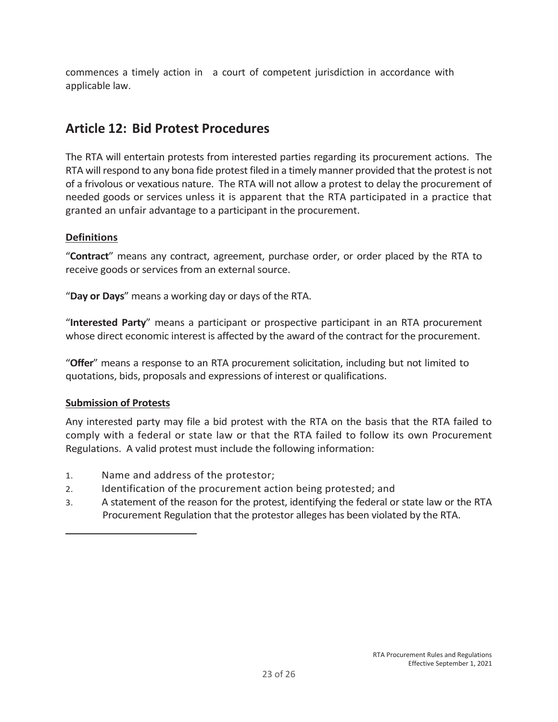commences a timely action in a court of competent jurisdiction in accordance with applicable law.

# **Article 12: Bid Protest Procedures**

The RTA will entertain protests from interested parties regarding its procurement actions. The RTA will respond to any bona fide protest filed in a timely manner provided that the protest is not of a frivolous or vexatious nature. The RTA will not allow a protest to delay the procurement of needed goods or services unless it is apparent that the RTA participated in a practice that granted an unfair advantage to a participant in the procurement.

### **Definitions**

"**Contract**" means any contract, agreement, purchase order, or order placed by the RTA to receive goods or services from an external source.

"**Day or Days**" means a working day or days of the RTA.

"**Interested Party**" means a participant or prospective participant in an RTA procurement whose direct economic interest is affected by the award of the contract for the procurement.

"**Offer**" means a response to an RTA procurement solicitation, including but not limited to quotations, bids, proposals and expressions of interest or qualifications.

# **Submission of Protests**

Any interested party may file a bid protest with the RTA on the basis that the RTA failed to comply with a federal or state law or that the RTA failed to follow its own Procurement Regulations. A valid protest must include the following information:

- 1. Name and address of the protestor;
- 2. Identification of the procurement action being protested; and
- 3. A statement of the reason for the protest, identifying the federal or state law or the RTA Procurement Regulation that the protestor alleges has been violated by the RTA.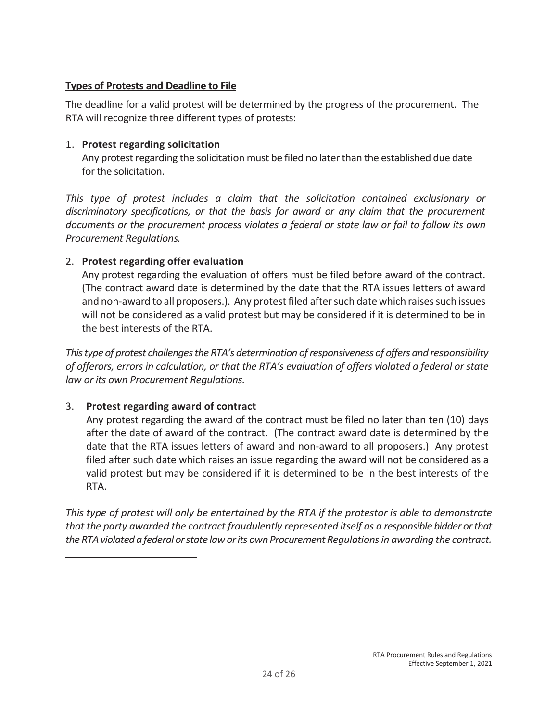### **Types of Protests and Deadline to File**

The deadline for a valid protest will be determined by the progress of the procurement. The RTA will recognize three different types of protests:

### 1. **Protest regarding solicitation**

Any protest regarding the solicitation must be filed no later than the established due date for the solicitation.

This type of protest includes a claim that the solicitation contained exclusionary or *discriminatory specifications, or that the basis for award or any claim that the procurement documents or the procurement process violates a federal or state law or fail to follow its own Procurement Regulations.* 

### 2. **Protest regarding offer evaluation**

Any protest regarding the evaluation of offers must be filed before award of the contract. (The contract award date is determined by the date that the RTA issues letters of award and non-award to all proposers.). Any protest filed after such date which raises such issues will not be considered as a valid protest but may be considered if it is determined to be in the best interests of the RTA.

*This type of protest challenges the RTA's determination of responsiveness of offers and responsibility of offerors, errors in calculation, or that the RTA's evaluation of offers violated a federal or state law or its own Procurement Regulations.* 

# 3. **Protest regarding award of contract**

Any protest regarding the award of the contract must be filed no later than ten (10) days after the date of award of the contract. (The contract award date is determined by the date that the RTA issues letters of award and non-award to all proposers.) Any protest filed after such date which raises an issue regarding the award will not be considered as a valid protest but may be considered if it is determined to be in the best interests of the RTA.

*This type of protest will only be entertained by the RTA if the protestor is able to demonstrate that the party awarded the contract fraudulently represented itself as a responsible bidder or that the RTA violated a federal or state law or its own Procurement Regulations in awarding the contract.*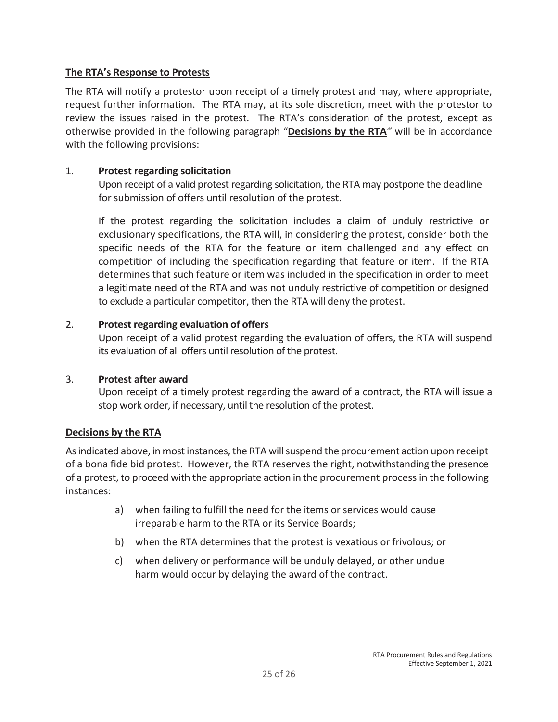### **The RTA's Response to Protests**

The RTA will notify a protestor upon receipt of a timely protest and may, where appropriate, request further information. The RTA may, at its sole discretion, meet with the protestor to review the issues raised in the protest. The RTA's consideration of the protest, except as otherwise provided in the following paragraph "**Decisions by the RTA***"* will be in accordance with the following provisions:

### 1. **Protest regarding solicitation**

Upon receipt of a valid protest regarding solicitation, the RTA may postpone the deadline for submission of offers until resolution of the protest.

If the protest regarding the solicitation includes a claim of unduly restrictive or exclusionary specifications, the RTA will, in considering the protest, consider both the specific needs of the RTA for the feature or item challenged and any effect on competition of including the specification regarding that feature or item. If the RTA determines that such feature or item was included in the specification in order to meet a legitimate need of the RTA and was not unduly restrictive of competition or designed to exclude a particular competitor, then the RTA will deny the protest.

### 2. **Protest regarding evaluation of offers**

Upon receipt of a valid protest regarding the evaluation of offers, the RTA will suspend its evaluation of all offers until resolution of the protest.

### 3. **Protest after award**

Upon receipt of a timely protest regarding the award of a contract, the RTA will issue a stop work order, if necessary, until the resolution of the protest.

### **Decisions by the RTA**

As indicated above, in most instances, the RTA will suspend the procurement action upon receipt of a bona fide bid protest. However, the RTA reserves the right, notwithstanding the presence of a protest, to proceed with the appropriate action in the procurement process in the following instances:

- a) when failing to fulfill the need for the items or services would cause irreparable harm to the RTA or its Service Boards;
- b) when the RTA determines that the protest is vexatious or frivolous; or
- c) when delivery or performance will be unduly delayed, or other undue harm would occur by delaying the award of the contract.